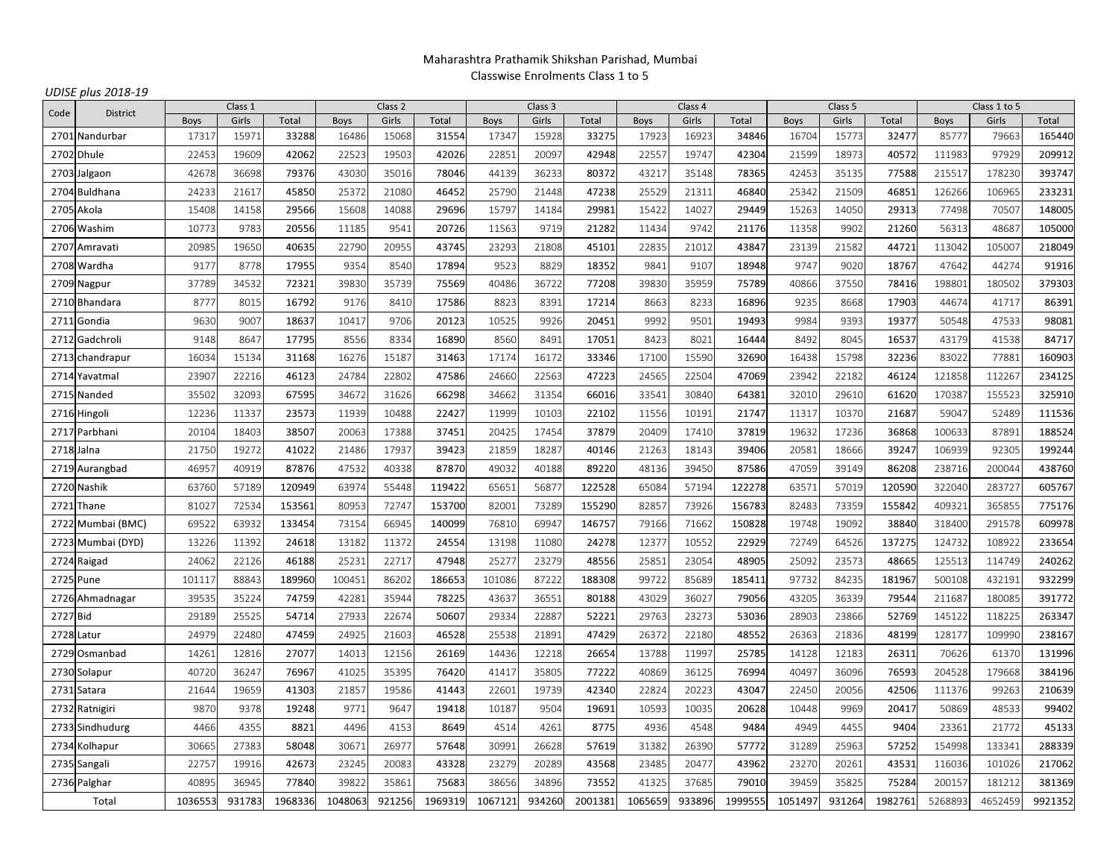# Maharashtra Prathamik Shikshan Parishad, MumbaiClasswise Enrolments Class 1 to 5

| Code       | <b>District</b>   | Class 1     |        |         | Class 2     |        |         |         | Class 3 |         | Class 4 |        |         |             | Class 5 |         | Class 1 to 5 |         |         |
|------------|-------------------|-------------|--------|---------|-------------|--------|---------|---------|---------|---------|---------|--------|---------|-------------|---------|---------|--------------|---------|---------|
|            |                   | <b>Boys</b> | Girls  | Total   | <b>Boys</b> | Girls  | Total   | Boys    | Girls   | Total   | Boys    | Girls  | Total   | <b>Boys</b> | Girls   | Total   | <b>Boys</b>  | Girls   | Total   |
|            | 2701 Nandurbar    | 17317       | 15971  | 33288   | 16486       | 15068  | 31554   | 17347   | 15928   | 33275   | 17923   | 16923  | 34846   | 16704       | 15773   | 32477   | 85777        | 79663   | 165440  |
|            | 2702 Dhule        | 22453       | 19609  | 42062   | 22523       | 19503  | 42026   | 22851   | 20097   | 42948   | 22557   | 19747  | 42304   | 21599       | 18973   | 40572   | 111983       | 97929   | 209912  |
| 2703       | Jalgaon           | 42678       | 36698  | 79376   | 43030       | 35016  | 78046   | 44139   | 36233   | 80372   | 43217   | 35148  | 78365   | 42453       | 35135   | 77588   | 215517       | 178230  | 393747  |
|            | 2704 Buldhana     | 24233       | 21617  | 45850   | 25372       | 21080  | 46452   | 25790   | 21448   | 47238   | 25529   | 21311  | 46840   | 25342       | 21509   | 46851   | 126266       | 106965  | 233231  |
| 2705       | Akola             | 15408       | 14158  | 29566   | 15608       | 14088  | 29696   | 15797   | 14184   | 29981   | 15422   | 14027  | 29449   | 15263       | 14050   | 29313   | 77498        | 70507   | 148005  |
|            | 2706 Washim       | 10773       | 9783   | 20556   | 11185       | 9541   | 20726   | 11563   | 9719    | 21282   | 11434   | 9742   | 21176   | 11358       | 9902    | 21260   | 56313        | 48687   | 105000  |
| 2707       | Amravati          | 20985       | 19650  | 40635   | 22790       | 20955  | 43745   | 23293   | 21808   | 45101   | 22835   | 21012  | 43847   | 23139       | 21582   | 44721   | 113042       | 105007  | 218049  |
|            | 2708 Wardha       | 9177        | 8778   | 17955   | 9354        | 8540   | 17894   | 9523    | 8829    | 18352   | 9841    | 9107   | 18948   | 9747        | 9020    | 18767   | 47642        | 44274   | 91916   |
| 2709       | Nagpur            | 37789       | 34532  | 72321   | 3983C       | 35739  | 75569   | 40486   | 36722   | 77208   | 3983C   | 35959  | 75789   | 40866       | 37550   | 78416   | 19880        | 180502  | 379303  |
|            | 2710 Bhandara     | 8777        | 8015   | 16792   | 9176        | 8410   | 17586   | 8823    | 8391    | 17214   | 8663    | 8233   | 16896   | 9235        | 8668    | 17903   | 44674        | 41717   | 86391   |
| 2711       | Gondia            | 9630        | 9007   | 18637   | 10417       | 9706   | 20123   | 10525   | 9926    | 20451   | 9992    | 9501   | 19493   | 9984        | 9393    | 19377   | 50548        | 47533   | 98081   |
| 2712       | Gadchroli         | 9148        | 8647   | 17795   | 8556        | 8334   | 16890   | 8560    | 8491    | 17051   | 8423    | 8021   | 16444   | 8492        | 8045    | 16537   | 43179        | 41538   | 84717   |
| 2713       | chandrapur        | 16034       | 15134  | 31168   | 16276       | 15187  | 31463   | 17174   | 16172   | 33346   | 17100   | 15590  | 32690   | 16438       | 15798   | 32236   | 83022        | 77881   | 160903  |
|            | 2714 Yavatmal     | 23907       | 22216  | 46123   | 24784       | 22802  | 47586   | 24660   | 22563   | 47223   | 24565   | 22504  | 47069   | 23942       | 22182   | 46124   | 121858       | 112267  | 234125  |
|            | 2715 Nanded       | 35502       | 32093  | 67595   | 34672       | 31626  | 66298   | 34662   | 31354   | 66016   | 33541   | 30840  | 64381   | 32010       | 29610   | 61620   | 170387       | 155523  | 325910  |
|            | 2716 Hingoli      | 12236       | 11337  | 23573   | 11939       | 10488  | 22427   | 11999   | 10103   | 22102   | 11556   | 10191  | 21747   | 11317       | 10370   | 21687   | 59047        | 52489   | 111536  |
|            | 2717 Parbhani     | 20104       | 18403  | 38507   | 20063       | 17388  | 37451   | 20425   | 17454   | 37879   | 20409   | 17410  | 37819   | 19632       | 17236   | 36868   | 100633       | 87891   | 188524  |
| 2718 Jalna |                   | 21750       | 19272  | 41022   | 21486       | 17937  | 39423   | 21859   | 18287   | 40146   | 21263   | 18143  | 39406   | 2058        | 18666   | 39247   | 106939       | 92305   | 199244  |
|            | 2719 Aurangbad    | 46957       | 40919  | 87876   | 47532       | 40338  | 87870   | 49032   | 40188   | 89220   | 48136   | 39450  | 87586   | 47059       | 39149   | 86208   | 238716       | 200044  | 438760  |
|            | 2720 Nashik       | 63760       | 57189  | 120949  | 63974       | 55448  | 119422  | 65651   | 56877   | 122528  | 65084   | 57194  | 122278  | 63571       | 57019   | 120590  | 322040       | 283727  | 605767  |
| 2721       | Thane             | 81027       | 72534  | 153561  | 80953       | 72747  | 153700  | 82001   | 73289   | 155290  | 82857   | 73926  | 156783  | 82483       | 73359   | 155842  | 409321       | 365855  | 775176  |
| 2722       | Mumbai (BMC)      | 69522       | 63932  | 133454  | 73154       | 66945  | 140099  | 76810   | 69947   | 146757  | 79166   | 71662  | 150828  | 19748       | 19092   | 38840   | 318400       | 291578  | 609978  |
|            | 2723 Mumbai (DYD) | 13226       | 11392  | 24618   | 13182       | 11372  | 24554   | 13198   | 11080   | 24278   | 12377   | 10552  | 22929   | 72749       | 64526   | 137275  | 124732       | 108922  | 233654  |
|            | 2724 Raigad       | 24062       | 22126  | 46188   | 25231       | 22717  | 47948   | 25277   | 23279   | 48556   | 25851   | 23054  | 48905   | 25092       | 23573   | 48665   | 125513       | 114749  | 240262  |
| 2725 Pune  |                   | 10111       | 88843  | 189960  | 100451      | 86202  | 186653  | 101086  | 87222   | 188308  | 99722   | 85689  | 185411  | 97732       | 84235   | 181967  | 500108       | 432191  | 932299  |
|            | 2726 Ahmadnagar   | 39535       | 35224  | 74759   | 42281       | 35944  | 78225   | 43637   | 36551   | 80188   | 43029   | 36027  | 79056   | 43205       | 36339   | 79544   | 211687       | 180085  | 391772  |
| 2727 Bid   |                   | 29189       | 25525  | 54714   | 27933       | 22674  | 50607   | 29334   | 22887   | 52221   | 29763   | 23273  | 53036   | 28903       | 23866   | 52769   | 145122       | 118225  | 263347  |
| 2728 Latur |                   | 24979       | 22480  | 47459   | 24925       | 21603  | 46528   | 25538   | 21891   | 47429   | 26372   | 22180  | 48552   | 26363       | 21836   | 48199   | 128177       | 109990  | 238167  |
| 2729       | Osmanbad          | 14261       | 12816  | 27077   | 14013       | 12156  | 26169   | 14436   | 12218   | 26654   | 13788   | 11997  | 25785   | 14128       | 12183   | 26311   | 70626        | 61370   | 131996  |
|            | 2730 Solapur      | 40720       | 36247  | 76967   | 41025       | 35395  | 76420   | 41417   | 35805   | 77222   | 40869   | 36125  | 76994   | 40497       | 36096   | 76593   | 204528       | 179668  | 384196  |
|            | 2731 Satara       | 21644       | 19659  | 41303   | 21857       | 19586  | 41443   | 22601   | 19739   | 42340   | 22824   | 20223  | 43047   | 22450       | 20056   | 42506   | 111376       | 99263   | 210639  |
|            | 2732 Ratnigiri    | <b>9870</b> | 9378   | 19248   | 9771        | 9647   | 19418   | 10187   | 9504    | 19691   | 10593   | 10035  | 20628   | 10448       | 9969    | 20417   | 50869        | 48533   | 99402   |
|            | 2733 Sindhudurg   | 4466        | 4355   | 8821    | 4496        | 4153   | 8649    | 4514    | 4261    | 8775    | 4936    | 4548   | 9484    | 4949        | 4455    | 9404    | 23361        | 21772   | 45133   |
|            | 2734 Kolhapur     | 30665       | 27383  | 58048   | 30671       | 26977  | 57648   | 30991   | 26628   | 57619   | 31382   | 26390  | 57772   | 31289       | 25963   | 57252   | 154998       | 133341  | 288339  |
|            | 2735 Sangali      | 22757       | 19916  | 42673   | 23245       | 20083  | 43328   | 23279   | 20289   | 43568   | 23485   | 20477  | 43962   | 23270       | 20261   | 43531   | 116036       | 101026  | 217062  |
|            | 2736 Palghar      | 40895       | 36945  | 77840   | 39822       | 35861  | 75683   | 38656   | 34896   | 73552   | 41325   | 37685  | 79010   | 39459       | 35825   | 75284   | 200157       | 181212  | 381369  |
| Total      |                   | 1036553     | 931783 | 1968336 | 1048063     | 921256 | 1969319 | 1067121 | 934260  | 2001381 | 1065659 | 933896 | 1999555 | 1051497     | 931264  | 1982761 | 5268893      | 4652459 | 9921352 |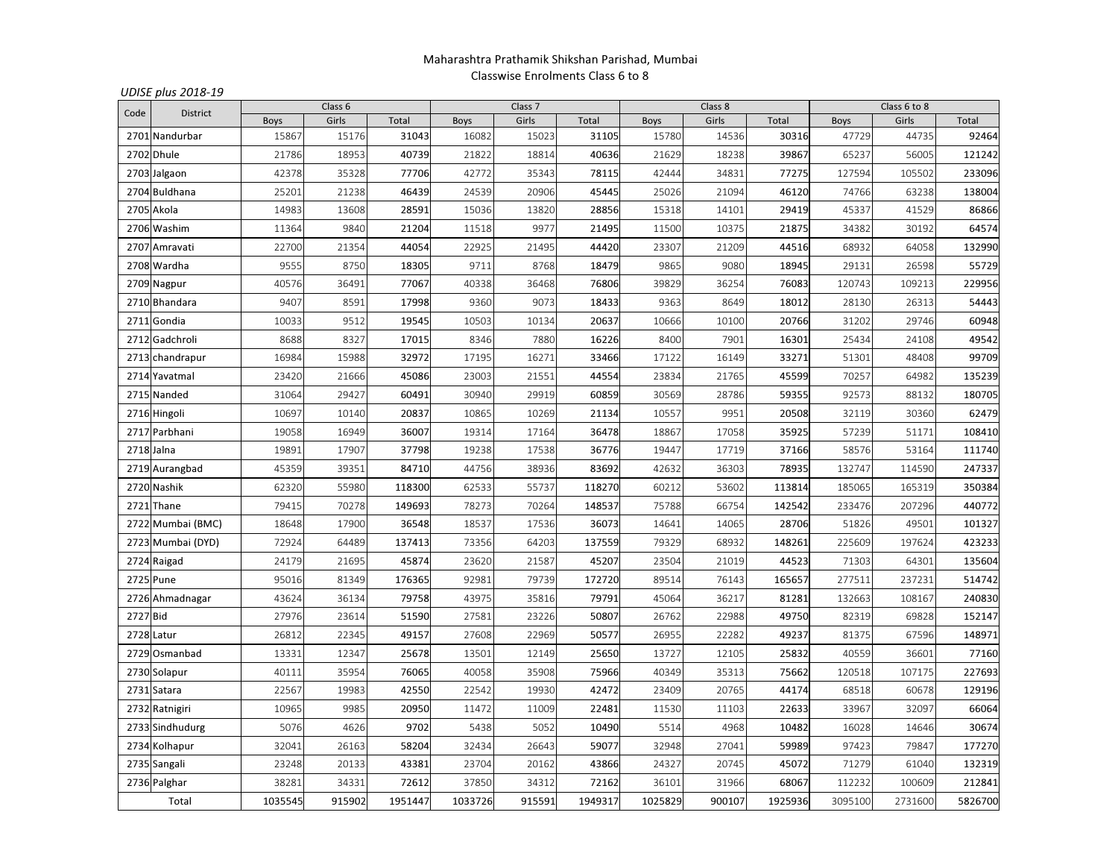## Maharashtra Prathamik Shikshan Parishad, MumbaiClasswise Enrolments Class 6 to 8

| Code     | <b>District</b>   |             | Class 6 |         |             | Class <sub>7</sub> |         |             | Class 8 |         | Class 6 to 8 |         |         |  |
|----------|-------------------|-------------|---------|---------|-------------|--------------------|---------|-------------|---------|---------|--------------|---------|---------|--|
|          |                   | <b>Boys</b> | Girls   | Total   | <b>Boys</b> | Girls              | Total   | <b>Boys</b> | Girls   | Total   | <b>Boys</b>  | Girls   | Total   |  |
|          | 2701 Nandurbar    | 15867       | 15176   | 31043   | 16082       | 15023              | 31105   | 15780       | 14536   | 30316   | 47729        | 44735   | 92464   |  |
| 2702     | Dhule             | 21786       | 18953   | 40739   | 21822       | 18814              | 40636   | 21629       | 18238   | 39867   | 65237        | 56005   | 121242  |  |
|          | 2703 Jalgaon      | 42378       | 35328   | 77706   | 42772       | 35343              | 78115   | 42444       | 34831   | 77275   | 127594       | 105502  | 233096  |  |
| 2704     | <b>Buldhana</b>   | 25201       | 21238   | 46439   | 24539       | 20906              | 45445   | 25026       | 21094   | 46120   | 74766        | 63238   | 138004  |  |
|          | 2705 Akola        | 14983       | 13608   | 28591   | 15036       | 13820              | 28856   | 15318       | 14101   | 29419   | 45337        | 41529   | 86866   |  |
|          | 2706 Washim       | 11364       | 9840    | 21204   | 11518       | 9977               | 21495   | 11500       | 10375   | 21875   | 34382        | 30192   | 64574   |  |
| 2707     | Amravati          | 22700       | 21354   | 44054   | 22925       | 21495              | 44420   | 23307       | 21209   | 44516   | 68932        | 64058   | 132990  |  |
|          | 2708 Wardha       | 9555        | 8750    | 18305   | 9711        | 8768               | 18479   | 9865        | 9080    | 18945   | 29131        | 26598   | 55729   |  |
|          | 2709 Nagpur       | 40576       | 36491   | 77067   | 40338       | 36468              | 76806   | 39829       | 36254   | 76083   | 120743       | 109213  | 229956  |  |
|          | 2710 Bhandara     | 9407        | 8591    | 17998   | 9360        | 9073               | 18433   | 9363        | 8649    | 18012   | 28130        | 26313   | 54443   |  |
| 2711     | Gondia            | 10033       | 9512    | 19545   | 10503       | 10134              | 20637   | 10666       | 10100   | 20766   | 31202        | 29746   | 60948   |  |
| 2712     | Gadchroli         | 8688        | 8327    | 17015   | 8346        | 7880               | 16226   | 8400        | 7901    | 16301   | 25434        | 24108   | 49542   |  |
| 2713     | chandrapur        | 16984       | 15988   | 32972   | 17195       | 16271              | 33466   | 17122       | 16149   | 33271   | 51301        | 48408   | 99709   |  |
|          | 2714 Yavatmal     | 23420       | 21666   | 45086   | 23003       | 21551              | 44554   | 23834       | 21765   | 45599   | 70257        | 64982   | 135239  |  |
|          | 2715 Nanded       | 31064       | 29427   | 60491   | 30940       | 29919              | 60859   | 30569       | 28786   | 59355   | 92573        | 88132   | 180705  |  |
|          | 2716 Hingoli      | 10697       | 10140   | 20837   | 10865       | 10269              | 21134   | 10557       | 9951    | 20508   | 32119        | 30360   | 62479   |  |
|          | 2717 Parbhani     | 19058       | 16949   | 36007   | 19314       | 17164              | 36478   | 18867       | 17058   | 35925   | 57239        | 51171   | 108410  |  |
|          | 2718 Jalna        | 19891       | 17907   | 37798   | 19238       | 17538              | 36776   | 19447       | 17719   | 37166   | 58576        | 53164   | 111740  |  |
|          | 2719 Aurangbad    | 45359       | 39351   | 84710   | 44756       | 38936              | 83692   | 42632       | 36303   | 78935   | 132747       | 114590  | 247337  |  |
|          | 2720 Nashik       | 62320       | 55980   | 118300  | 62533       | 55737              | 118270  | 60212       | 53602   | 113814  | 185065       | 165319  | 350384  |  |
| 2721     | Thane             | 79415       | 70278   | 149693  | 78273       | 70264              | 148537  | 75788       | 66754   | 142542  | 233476       | 207296  | 440772  |  |
|          | 2722 Mumbai (BMC) | 18648       | 17900   | 36548   | 18537       | 17536              | 36073   | 14641       | 14065   | 28706   | 51826        | 49501   | 101327  |  |
|          | 2723 Mumbai (DYD) | 72924       | 64489   | 137413  | 73356       | 64203              | 137559  | 79329       | 68932   | 148261  | 225609       | 197624  | 423233  |  |
| 2724     | Raigad            | 24179       | 21695   | 45874   | 23620       | 21587              | 45207   | 23504       | 21019   | 44523   | 71303        | 64301   | 135604  |  |
| 2725     | Pune              | 95016       | 81349   | 176365  | 92981       | 79739              | 172720  | 89514       | 76143   | 165657  | 277511       | 237231  | 514742  |  |
|          | 2726 Ahmadnagar   | 43624       | 36134   | 79758   | 43975       | 35816              | 79791   | 45064       | 36217   | 81281   | 132663       | 108167  | 240830  |  |
| 2727 Bid |                   | 27976       | 23614   | 51590   | 27581       | 23226              | 50807   | 26762       | 22988   | 49750   | 82319        | 69828   | 152147  |  |
|          | 2728 Latur        | 26812       | 22345   | 49157   | 27608       | 22969              | 50577   | 26955       | 22282   | 49237   | 81375        | 67596   | 148971  |  |
| 2729     | Osmanbad          | 13331       | 12347   | 25678   | 13501       | 12149              | 25650   | 13727       | 12105   | 25832   | 40559        | 36601   | 77160   |  |
|          | 2730 Solapur      | 40111       | 35954   | 76065   | 40058       | 35908              | 75966   | 40349       | 35313   | 75662   | 120518       | 107175  | 227693  |  |
|          | 2731 Satara       | 22567       | 19983   | 42550   | 22542       | 19930              | 42472   | 23409       | 20765   | 44174   | 68518        | 60678   | 129196  |  |
| 2732     | Ratnigiri         | 10965       | 9985    | 20950   | 11472       | 11009              | 22481   | 11530       | 11103   | 22633   | 33967        | 32097   | 66064   |  |
|          | 2733 Sindhudurg   | 5076        | 4626    | 9702    | 5438        | 5052               | 10490   | 5514        | 4968    | 10482   | 16028        | 14646   | 30674   |  |
| 2734     | Kolhapur          | 32041       | 26163   | 58204   | 32434       | 26643              | 59077   | 32948       | 27041   | 59989   | 97423        | 79847   | 177270  |  |
|          | 2735 Sangali      | 23248       | 20133   | 43381   | 23704       | 20162              | 43866   | 24327       | 20745   | 45072   | 71279        | 61040   | 132319  |  |
|          | 2736 Palghar      | 38281       | 34331   | 72612   | 37850       | 34312              | 72162   | 36101       | 31966   | 68067   | 112232       | 100609  | 212841  |  |
|          | Total             | 1035545     | 915902  | 1951447 | 1033726     | 915591             | 1949317 | 1025829     | 900107  | 1925936 | 3095100      | 2731600 | 5826700 |  |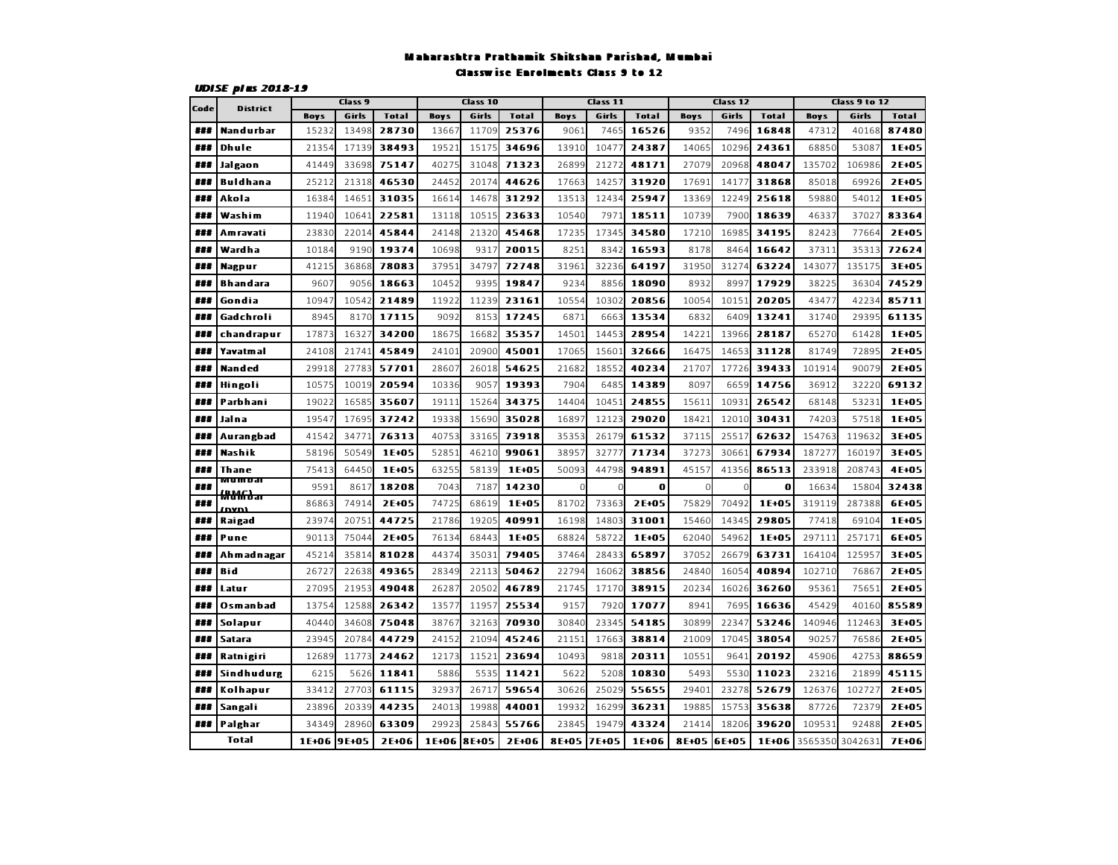#### Maharashtra Prathamik Shikshan Parishad, MumbaiClasswise Enrolments Class 9 to 12

| Code |                              | Class 9     |       |              |             | Class 10 |              |             | Class 11 |              |               | Class 12 |              |             | Class 9 to 12 |              |
|------|------------------------------|-------------|-------|--------------|-------------|----------|--------------|-------------|----------|--------------|---------------|----------|--------------|-------------|---------------|--------------|
|      | <b>District</b>              | <b>Boys</b> | Girls | <b>Total</b> | <b>Boys</b> | Girls    | <b>Total</b> | <b>Boys</b> | Girls    | <b>Total</b> | <b>Boys</b>   | Girls    | <b>Total</b> | <b>Boys</b> | Girls         | <b>Total</b> |
| ###  | Nandurbar                    | 1523        | 13498 | 28730        | 1366        | 1170     | 25376        | 9061        | 7465     | 16526        | 9352          | 7496     | 16848        | 47312       | 40168         | 87480        |
| ###  | Dhule                        | 21354       | 17139 | 38493        | 19521       | 15175    | 34696        | 13910       | 10477    | 24387        | 14065         | 10296    | 24361        | 68850       | 53087         | 1E+05        |
| ###  | Jalgaon                      | 41449       | 33698 | 75147        | 40275       | 31048    | 71323        | 26899       | 21272    | 48171        | 27079         | 20968    | 48047        | 135702      | 106986        | 2E+05        |
| 非非罪  | <b>Buldhana</b>              | 25212       | 21318 | 46530        | 24452       | 20174    | 44626        | 17663       | 14257    | 31920        | 17691         | 14177    | 31868        | 85018       | 69926         | 2E+05        |
| ###  | Akola                        | 16384       | 14651 | 31035        | 16614       | 14678    | 31292        | 13513       | 12434    | 25947        | 13369         | 12249    | 25618        | 59880       | 54012         | 1E+05        |
| ###  | Washim                       | 11940       | 10641 | 22581        | 13118       | 10515    | 23633        | 10540       | 7971     | 18511        | 10739         | 7900     | 18639        | 46337       | 37027         | 83364        |
| ###  | Am ravati                    | 23830       | 22014 | 45844        | 24148       | 21320    | 45468        | 17235       | 17345    | 34580        | 17210         | 16985    | 34195        | 82423       | 77664         | 2E+05        |
| ###  | Wardha                       | 10184       | 9190  | 19374        | 10698       | 9317     | 20015        | 8251        | 8342     | 16593        | 8178          | 8464     | 16642        | 37311       | 35313         | 72624        |
| ###  | <b>Nagpur</b>                | 41215       | 36868 | 78083        | 37951       | 34797    | 72748        | 31961       | 32236    | 64197        | 31950         | 31274    | 63224        | 143077      | 135175        | 3E+05        |
| ###  | <b>Bhandara</b>              | 9607        | 9056  | 18663        | 10452       | 9395     | 19847        | 9234        | 8856     | 18090        | 8932          | 8997     | 17929        | 3822        | 36304         | 74529        |
| ###  | Gondia                       | 10947       | 10542 | 21489        | 11922       | 11239    | 23161        | 10554       | 10302    | 20856        | 10054         | 10151    | 20205        | 4347        | 42234         | 85711        |
| ###  | Gadchroli                    | 8945        | 8170  | 17115        | 9092        | 8153     | 17245        | 6871        | 6663     | 13534        | 6832          | 6409     | 13241        | 31740       | 29395         | 61135        |
| ###  | chandrapur                   | 17873       | 1632  | 34200        | 18675       | 16682    | 35357        | 14501       | 14453    | 28954        | 14221         | 13966    | 28187        | 65270       | 61428         | 1E+05        |
| ###  | Yavatmal                     | 24108       | 21741 | 45849        | 2410        | 20900    | 45001        | 17065       | 15601    | 32666        | 16475         | 14653    | 31128        | 81749       | 72895         | 2E+05        |
| ##   | Nanded                       | 29918       | 2778  | 57701        | 2860        | 26018    | 54625        | 21682       | 18552    | 40234        | 21707         | 17726    | 39433        | 101914      | 90079         | 2E+05        |
| ###  | Hingoli                      | 10575       | 1001  | 20594        | 10336       | 9057     | 19393        | 7904        | 6485     | 14389        | 8097          | 6659     | 14756        | 36912       | 32220         | 69132        |
| ###  | Parbhani                     | 19022       | 1658  | 35607        | 19111       | 15264    | 34375        | 14404       | 10451    | 24855        | 15611         | 10931    | 26542        | 68148       | 53231         | 1E+05        |
| ###  | Jaina                        | 19547       | 17695 | 37242        | 19338       | 15690    | 35028        | 16897       | 12123    | 29020        | 18421         | 12010    | 30431        | 74203       | 57518         | 1E+05        |
| ###  | Aurangbad                    | 41542       | 3477  | 76313        | 40753       | 33165    | 73918        | 35353       | 26179    | 61532        | 37115         | 25517    | 62632        | 154763      | 119632        | 3E+05        |
| ###  | Nashik                       | 58196       | 50549 | 1E+05        | 52853       | 46210    | 99061        | 3895        | 32777    | 71734        | 37273         | 30661    | 67934        | 18727       | 160197        | 3E+05        |
| ###  | Thane                        | 75413       | 64450 | 1E+05        | 6325        | 58139    | 1E+05        | 50093       | 44798    | 94891        | 45157         | 41356    | 86513        | 233918      | 208743        | 4E+05        |
| ###  | MUM DAI<br><del>MdƘbar</del> | 9591        | 8617  | 18208        | 7043        | 7187     | 14230        | $\Omega$    | $\Omega$ | $\bf{0}$     | $\mathcal{C}$ | Ω        | $\bf{0}$     | 16634       | 15804         | 32438        |
| ###  |                              | 86863       | 7491  | 2E+05        | 74725       | 68619    | 1E+05        | 81702       | 73363    | 2E+05        | 75829         | 70492    | 1E+05        | 319119      | 287388        | 6E+05        |
| ###  | Raigad                       | 23974       | 2075  | 44725        | 21786       | 19205    | 40991        | 16198       | 14803    | 31001        | 15460         | 14345    | 29805        | 77418       | 69104         | 1E+05        |
| ###  | Pune                         | 90113       | 75044 | 2E+05        | 76134       | 68443    | 1E+05        | 68824       | 58722    | 1E+05        | 62040         | 54962    | 1E+05        | 297111      | 257171        | 6E+05        |
| ###  | Ahmadnagar                   | 45214       | 3581  | 81028        | 4437        | 35031    | 79405        | 37464       | 28433    | 65897        | 37052         | 26679    | 63731        | 164104      | 125957        | 3E+05        |
| ###  | Bid                          | 2672        | 22638 | 49365        | 2834        | 22113    | 50462        | 22794       | 16062    | 38856        | 24840         | 16054    | 40894        | 10271       | 7686          | 2E+05        |
| ##   | Latur                        | 2709        | 2195  | 49048        | 2628        | 20502    | 46789        | 21745       | 17170    | 38915        | 20234         | 16026    | 36260        | 95361       | 75651         | 2E+05        |
| ##   | Osmanbad                     | 13754       | 12588 | 26342        | 1357        | 11957    | 25534        | 9157        | 7920     | 17077        | 8941          | 7695     | 16636        | 45429       | 40160         | 85589        |
| ###  | Solapur                      | 40440       | 34608 | 75048        | 3876        | 32163    | 70930        | 3084C       | 23345    | 54185        | 30899         | 22347    | 53246        | 140946      | 112463        | 3E+05        |
| ###  | <b>Satara</b>                | 23945       | 2078  | 44729        | 24152       | 21094    | 45246        | 2115:       | 17663    | 38814        | 21009         | 17045    | 38054        | 90257       | 76586         | 2E+05        |
| ###  | Ratnigiri                    | 12689       | 11773 | 24462        | 12173       | 11521    | 23694        | 10493       | 9818     | 20311        | 10551         | 9641     | 20192        | 45906       | 42753         | 88659        |
| ###  | Sindhudurg                   | 6215        | 5626  | 11841        | 5886        | 5535     | 11421        | 5622        | 5208     | 10830        | 5493          | 5530     | 11023        | 23216       | 21899         | 45115        |
| ###  | Kolhapur                     | 33412       | 27703 | 61115        | 3293        | 26717    | 59654        | 30626       | 25029    | 55655        | 29401         | 23278    | 52679        | 126376      | 102727        | 2E+05        |
| 非非罪  | Sangali                      | 23896       | 20339 | 44235        | 24013       | 19988    | 44001        | 19932       | 16299    | 36231        | 19885         | 15753    | 35638        | 87726       | 72379         | 2E+05        |
| ###  | Palghar                      | 34349       | 28960 | 63309        | 29923       | 25843    | 55766        | 23845       | 19479    | 43324        | 21414         | 18206    | 39620        | 109531      | 92488         | 2E+05        |
|      | <b>Total</b>                 | 1E+06       | 9E+05 | 2E+06        | 1E+06       | 8E+05    | 2E+06        | 8E+05       | 7E+05    | 1E+06        | 8E+05 6E+05   |          | 1E+06        | 3565350     | 3042631       | 7E+06        |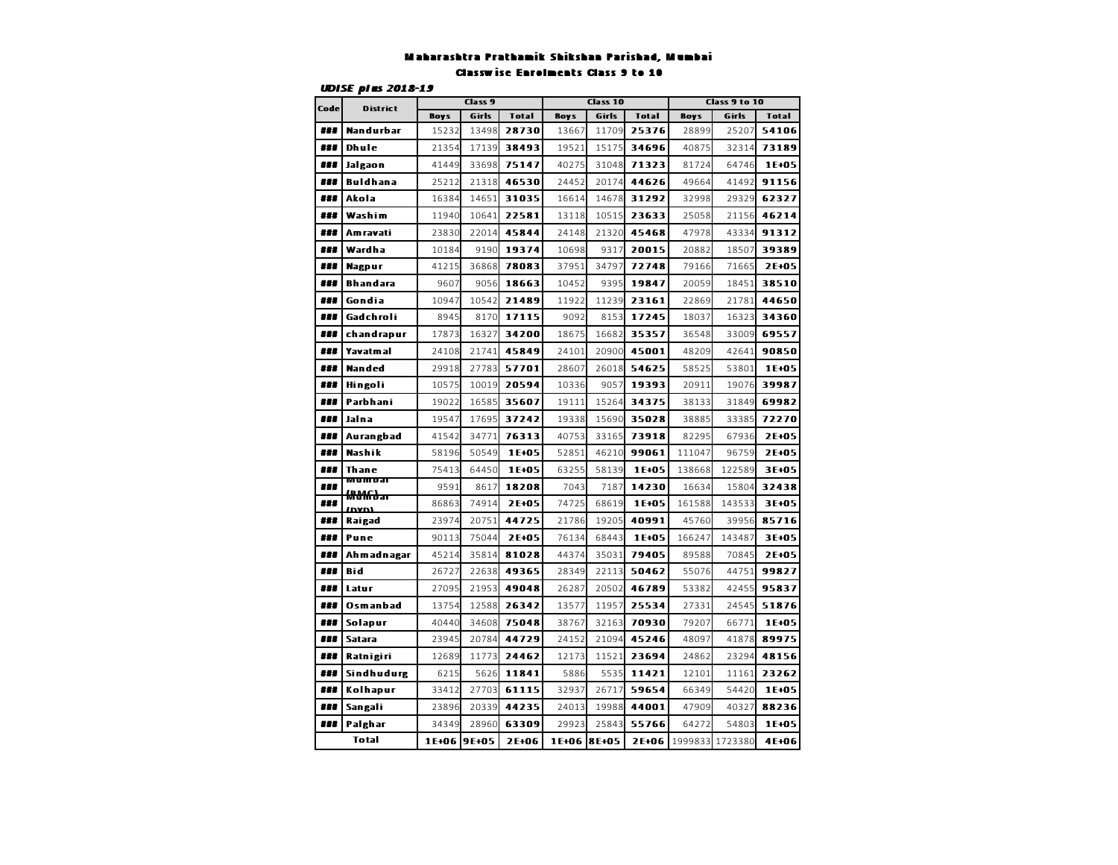#### Maharashtra Prathamik Shikshan Parishad, MumbaiClasswise Enrolments Class 9 to 10

| Code | <b>F-</b><br><b>District</b> |             | Class 9 |              |             | Class 10 |              | Class 9 to 10 |         |              |  |  |
|------|------------------------------|-------------|---------|--------------|-------------|----------|--------------|---------------|---------|--------------|--|--|
|      |                              | <b>Boys</b> | Girls   | <b>Total</b> | <b>Boys</b> | Girls    | <b>Total</b> | <b>Boys</b>   | Girls   | <b>Total</b> |  |  |
| ###  | Nandurbar                    | 15232       | 13498   | 28730        | 13667       | 11709    | 25376        | 28899         | 25207   | 54106        |  |  |
| ###  | Dhule                        | 21354       | 17139   | 38493        | 19521       | 15175    | 34696        | 40875         | 32314   | 73189        |  |  |
| ###  | Jalgaon                      | 41449       | 33698   | 75147        | 40275       | 31048    | 71323        | 81724         | 64746   | 1E+05        |  |  |
| ###  | Buldhana                     | 25212       | 21318   | 46530        | 24452       | 20174    | 44626        | 49664         | 41492   | 91156        |  |  |
| ###  | Akola                        | 16384       | 14651   | 31035        | 16614       | 14678    | 31292        | 32998         | 29329   | 62327        |  |  |
| ###  | Washim                       | 11940       | 10641   | 22581        | 13118       | 10515    | 23633        | 25058         | 21156   | 46214        |  |  |
| ###  | Am ravati                    | 23830       | 22014   | 45844        | 24148       | 21320    | 45468        | 47978         | 43334   | 91312        |  |  |
| ###  | Wardha                       | 10184       | 9190    | 19374        | 10698       | 9317     | 20015        | 20882         | 18507   | 39389        |  |  |
| 耕耕   | Nagpur                       | 41215       | 36868   | 78083        | 37951       | 34797    | 72748        | 79166         | 71665   | 2E+05        |  |  |
| ###  | <b>Bhandara</b>              | 9607        | 9056    | 18663        | 10452       | 9395     | 19847        | 20059         | 18451   | 38510        |  |  |
| ###  | Gondia                       | 10947       | 10542   | 21489        | 11922       | 11239    | 23161        | 22869         | 21781   | 44650        |  |  |
| ###  | Gadchroli                    | 8945        | 8170    | 17115        | 9092        | 8153     | 17245        | 18037         | 16323   | 34360        |  |  |
| ###  | chandrapur                   | 17873       | 16327   | 34200        | 18675       | 16682    | 35357        | 36548         | 33009   | 69557        |  |  |
| ###  | <b>Yavatmal</b>              | 24108       | 21741   | 45849        | 24101       | 20900    | 45001        | 48209         | 42641   | 90850        |  |  |
| ###  | Nanded                       | 29918       | 27783   | 57701        | 28607       | 26018    | 54625        | 58525         | 53801   | 1E+05        |  |  |
| ###  | Hingoli                      | 10575       | 10019   | 20594        | 10336       | 9057     | 19393        | 20911         | 19076   | 39987        |  |  |
| ###  | Parbhani                     | 19022       | 16585   | 35607        | 19111       | 15264    | 34375        | 38133         | 31849   | 69982        |  |  |
| ###  | Jalna                        | 19547       | 17695   | 37242        | 19338       | 15690    | 35028        | 38885         | 33385   | 72270        |  |  |
| ###  | Aurangbad                    | 41542       | 34771   | 76313        | 40753       | 33165    | 73918        | 82295         | 67936   | 2E+05        |  |  |
| ###  | Nashik                       | 58196       | 50549   | 1E+05        | 52851       | 46210    | 99061        | 111047        | 96759   | 2E+05        |  |  |
| ###  | Thane                        | 75413       | 64450   | 1E+05        | 63255       | 58139    | 1E+05        | 138668        | 122589  | 3E+05        |  |  |
| ###  | mum dai                      | 9591        | 8617    | 18208        | 7043        | 7187     | 14230        | 16634         | 15804   | 32438        |  |  |
| ###  | <del>MNKbar</del><br>nvni    | 86863       | 74914   | 2E+05        | 74725       | 68619    | 1E+05        | 161588        | 143533  | 3E+05        |  |  |
| ###  | Raigad                       | 23974       | 20751   | 44725        | 21786       | 19205    | 40991        | 45760         | 39956   | 85716        |  |  |
| ###  | Pune                         | 90113       | 75044   | 2E+05        | 76134       | 68443    | 1E+05        | 166247        | 143487  | 3E+05        |  |  |
| ###  | Ah mad nagar                 | 45214       | 35814   | 81028        | 44374       | 35031    | 79405        | 89588         | 70845   | 2E+05        |  |  |
| ###  | Bid                          | 26727       | 22638   | 49365        | 28349       | 22113    | 50462        | 55076         | 44751   | 99827        |  |  |
| ###  | Latur                        | 27095       | 21953   | 49048        | 26287       | 20502    | 46789        | 53382         | 42455   | 95837        |  |  |
| ###  | Osmanbad                     | 13754       | 12588   | 26342        | 13577       | 11957    | 25534        | 27331         | 24545   | 51876        |  |  |
| ###  | Solapur                      | 40440       | 34608   | 75048        | 38767       | 32163    | 70930        | 79207         | 66771   | 1E+05        |  |  |
| ###  | <b>Satara</b>                | 23945       | 20784   | 44729        | 24152       | 21094    | 45246        | 48097         | 41878   | 89975        |  |  |
| ###  | Ratnigiri                    | 12689       | 11773   | 24462        | 12173       | 11521    | 23694        | 24862         | 23294   | 48156        |  |  |
| 耕耕   | Sindhudurg                   | 6215        | 5626    | 11841        | 5886        | 5535     | 11421        | 12101         | 11161   | 23262        |  |  |
| ###  | Kolhapur                     | 33412       | 27703   | 61115        | 32937       | 26717    | 59654        | 66349         | 54420   | 1E+05        |  |  |
| ###  | Sangali                      | 23896       | 20339   | 44235        | 24013       | 19988    | 44001        | 47909         | 40327   | 88236        |  |  |
| ###  | Palghar                      | 34349       | 28960   | 63309        | 29923       | 25843    | 55766        | 64272         | 54803   | 1E+05        |  |  |
|      | <b>Total</b>                 | 1E+06       | 9E+05   | 2E+06        | 1E+06 8E+05 |          | 2E+06        | 1999833       | 1723380 | 4E+06        |  |  |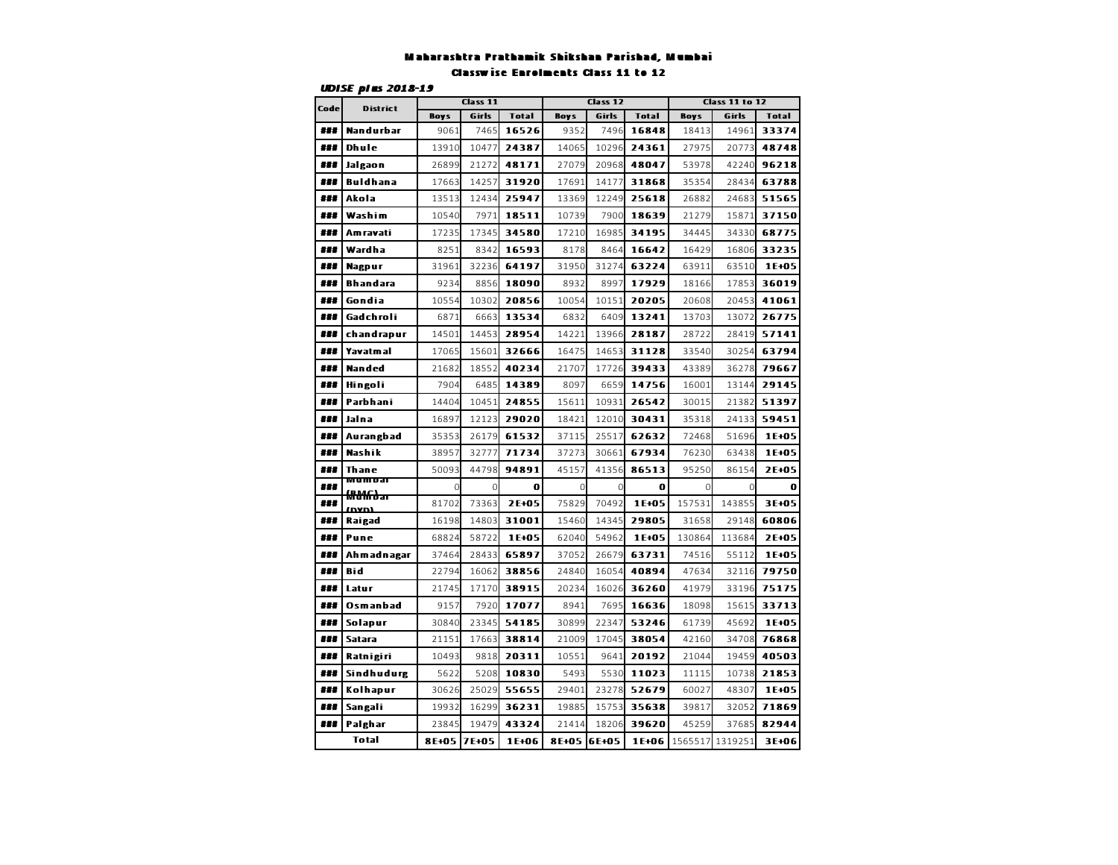#### Maharashtra Prathamik Shikshan Parishad, MumbaiClasswise Enrolments Class 11 to 12

| Code | <b>F-</b><br><b>District</b> |             | Class 11 |              |             | Class 12 |              |             | <b>Class 11 to 12</b> |              |  |  |  |
|------|------------------------------|-------------|----------|--------------|-------------|----------|--------------|-------------|-----------------------|--------------|--|--|--|
|      |                              | <b>Boys</b> | Girls    | <b>Total</b> | <b>Boys</b> | Girls    | <b>Total</b> | <b>Boys</b> | Girls                 | <b>Total</b> |  |  |  |
| ###  | Nandurbar                    | 9061        | 7465     | 16526        | 9352        | 7496     | 16848        | 18413       | 14961                 | 33374        |  |  |  |
| ###  | Dhule                        | 13910       | 10477    | 24387        | 14065       | 10296    | 24361        | 27975       | 20773                 | 48748        |  |  |  |
| ###  | Jalgaon                      | 26899       | 21272    | 48171        | 27079       | 20968    | 48047        | 53978       | 42240                 | 96218        |  |  |  |
| ###  | Buldhana                     | 17663       | 14257    | 31920        | 17691       | 14177    | 31868        | 35354       | 28434                 | 63788        |  |  |  |
| ###  | Akola                        | 13513       | 12434    | 25947        | 13369       | 12249    | 25618        | 26882       | 24683                 | 51565        |  |  |  |
| ###  | Washim                       | 10540       | 7971     | 18511        | 10739       | 7900     | 18639        | 21279       | 15871                 | 37150        |  |  |  |
| ###  | Am ravati                    | 17235       | 17345    | 34580        | 17210       | 16985    | 34195        | 34445       | 34330                 | 68775        |  |  |  |
| ###  | Wardha                       | 8251        | 8342     | 16593        | 8178        | 8464     | 16642        | 16429       | 16806                 | 33235        |  |  |  |
| ###  | <b>Nagpur</b>                | 31961       | 32236    | 64197        | 31950       | 31274    | 63224        | 63911       | 63510                 | 1E+05        |  |  |  |
| ###  | <b>Bhandara</b>              | 9234        | 8856     | 18090        | 8932        | 8997     | 17929        | 18166       | 17853                 | 36019        |  |  |  |
| ###  | Gondia                       | 10554       | 10302    | 20856        | 10054       | 10151    | 20205        | 20608       | 20453                 | 41061        |  |  |  |
| ###  | Gadchroli                    | 6871        | 6663     | 13534        | 6832        | 6409     | 13241        | 13703       | 13072                 | 26775        |  |  |  |
| ###  | chandrapur                   | 14501       | 14453    | 28954        | 14221       | 13966    | 28187        | 28722       | 28419                 | 57141        |  |  |  |
| ###  | Yavatmal                     | 17065       | 15601    | 32666        | 16475       | 14653    | 31128        | 33540       | 30254                 | 63794        |  |  |  |
| ###  | Nanded                       | 21682       | 18552    | 40234        | 21707       | 17726    | 39433        | 43389       | 36278                 | 79667        |  |  |  |
| ###  | Hingoli                      | 7904        | 6485     | 14389        | 8097        | 6659     | 14756        | 16001       | 13144                 | 29145        |  |  |  |
| ###  | Parbhani                     | 14404       | 10451    | 24855        | 15611       | 10931    | 26542        | 30015       | 21382                 | 51397        |  |  |  |
| ###  | Jalna                        | 16897       | 12123    | 29020        | 18421       | 12010    | 30431        | 35318       | 24133                 | 59451        |  |  |  |
| ###  | Aurangbad                    | 35353       | 26179    | 61532        | 37115       | 25517    | 62632        | 72468       | 51696                 | 1E+05        |  |  |  |
| ###  | Nashik                       | 38957       | 32777    | 71734        | 37273       | 30661    | 67934        | 76230       | 63438                 | 1E+05        |  |  |  |
| ###  | Thane                        | 50093       | 44798    | 94891        | 45157       | 41356    | 86513        | 95250       | 86154                 | 2E+05        |  |  |  |
| ###  | wumbal                       | 0           |          | 0            | 0           | 0        | 0            | 0           |                       | 0            |  |  |  |
| ###  | <del>MNKbar</del><br>וחעם    | 81702       | 73363    | 2E+05        | 75829       | 70492    | 1E+05        | 157531      | 143855                | 3E+05        |  |  |  |
| ###  | Raigad                       | 16198       | 14803    | 31001        | 15460       | 14345    | 29805        | 31658       | 29148                 | 60806        |  |  |  |
| ###  | Pune                         | 68824       | 58722    | 1E+05        | 62040       | 54962    | 1E+05        | 130864      | 113684                | 2E+05        |  |  |  |
| ###  | Ahmadnagar                   | 37464       | 28433    | 65897        | 37052       | 26679    | 63731        | 74516       | 55112                 | 1E+05        |  |  |  |
| ###  | Bid                          | 22794       | 16062    | 38856        | 24840       | 16054    | 40894        | 47634       | 32116                 | 79750        |  |  |  |
| ###  | Latur                        | 21745       | 17170    | 38915        | 20234       | 16026    | 36260        | 41979       | 33196                 | 75175        |  |  |  |
| ###  | Osmanbad                     | 9157        | 7920     | 17077        | 8941        | 7695     | 16636        | 18098       | 15615                 | 33713        |  |  |  |
| ###  | Solapur                      | 30840       | 23345    | 54185        | 30899       | 22347    | 53246        | 61739       | 45692                 | 1E+05        |  |  |  |
| ###  | <b>Satara</b>                | 21151       | 17663    | 38814        | 21009       | 17045    | 38054        | 42160       | 34708                 | 76868        |  |  |  |
| ###  | Ratnigiri                    | 10493       | 9818     | 20311        | 10551       | 9641     | 20192        | 21044       | 19459                 | 40503        |  |  |  |
| ###  | Sindhudurg                   | 5622        | 5208     | 10830        | 5493        | 5530     | 11023        | 11115       | 10738                 | 21853        |  |  |  |
| ###  | Kolhapur                     | 30626       | 25029    | 55655        | 29401       | 23278    | 52679        | 60027       | 48307                 | 1E+05        |  |  |  |
| ###  | Sangali                      | 19932       | 16299    | 36231        | 19885       | 15753    | 35638        | 39817       | 32052                 | 71869        |  |  |  |
| ###  | Palghar                      | 23845       | 19479    | 43324        | 21414       | 18206    | 39620        | 45259       | 37685                 | 82944        |  |  |  |
|      | Total                        | 8E+05       | 7E+05    | 1E+06        | 8E+05       | 6E+05    | 1E+06        | 1565517     | 1319251               | 3E+06        |  |  |  |